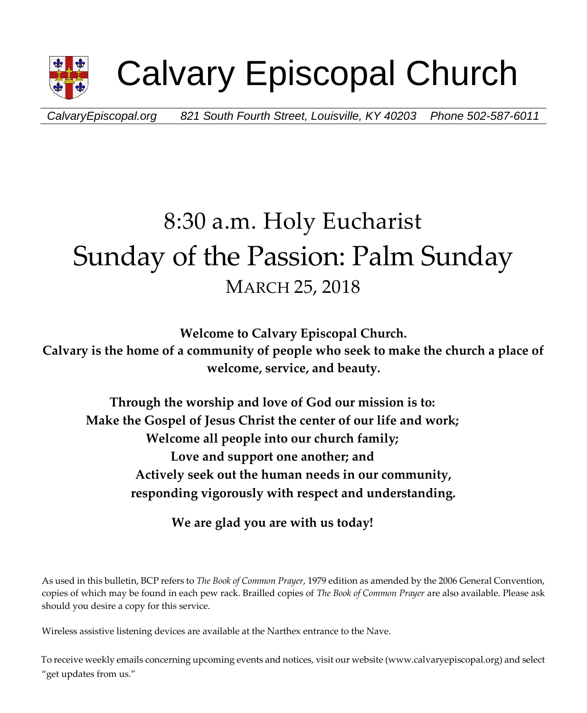

# Calvary Episcopal Church

*CalvaryEpiscopal.org 821 South Fourth Street, Louisville, KY 40203 Phone 502-587-6011*

# 8:30 a.m. Holy Eucharist Sunday of the Passion: Palm Sunday MARCH 25, 2018

**Welcome to Calvary Episcopal Church. Calvary is the home of a community of people who seek to make the church a place of welcome, service, and beauty.** 

**Through the worship and love of God our mission is to: Make the Gospel of Jesus Christ the center of our life and work; Welcome all people into our church family; Love and support one another; and Actively seek out the human needs in our community, responding vigorously with respect and understanding.**

**We are glad you are with us today!** 

As used in this bulletin, BCP refers to *The Book of Common Prayer*, 1979 edition as amended by the 2006 General Convention, copies of which may be found in each pew rack. Brailled copies of *The Book of Common Prayer* are also available. Please ask should you desire a copy for this service.

Wireless assistive listening devices are available at the Narthex entrance to the Nave.

To receive weekly emails concerning upcoming events and notices, visit our website (www.calvaryepiscopal.org) and select "get updates from us."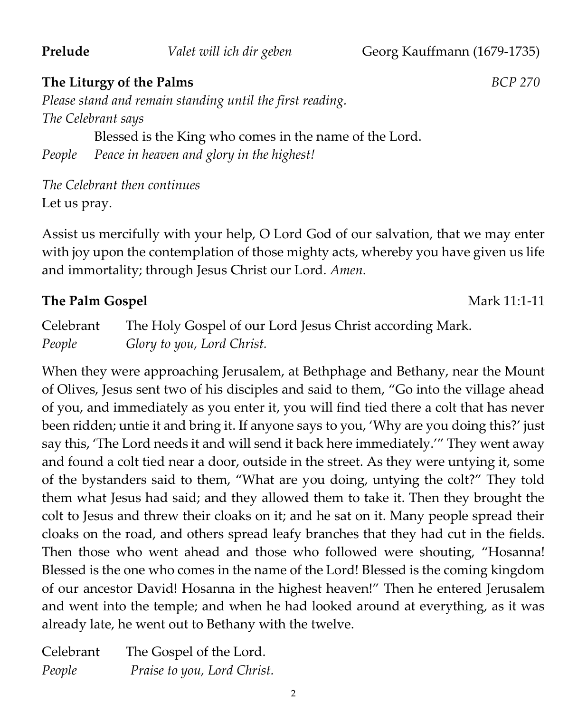**Prelude** *Valet will ich dir geben* Georg Kauffmann (1679-1735)

# **The Liturgy of the Palms** *BCP 270*

*Please stand and remain standing until the first reading. The Celebrant says* Blessed is the King who comes in the name of the Lord. *People Peace in heaven and glory in the highest!* 

*The Celebrant then continues* Let us pray.

Assist us mercifully with your help, O Lord God of our salvation, that we may enter with joy upon the contemplation of those mighty acts, whereby you have given us life and immortality; through Jesus Christ our Lord. *Amen*.

# **The Palm Gospel Mark 11:1-11**

Celebrant The Holy Gospel of our Lord Jesus Christ according Mark. *People Glory to you, Lord Christ.*

When they were approaching Jerusalem, at Bethphage and Bethany, near the Mount of Olives, Jesus sent two of his disciples and said to them, "Go into the village ahead of you, and immediately as you enter it, you will find tied there a colt that has never been ridden; untie it and bring it. If anyone says to you, 'Why are you doing this?' just say this, 'The Lord needs it and will send it back here immediately.'" They went away and found a colt tied near a door, outside in the street. As they were untying it, some of the bystanders said to them, "What are you doing, untying the colt?" They told them what Jesus had said; and they allowed them to take it. Then they brought the colt to Jesus and threw their cloaks on it; and he sat on it. Many people spread their cloaks on the road, and others spread leafy branches that they had cut in the fields. Then those who went ahead and those who followed were shouting, "Hosanna! Blessed is the one who comes in the name of the Lord! Blessed is the coming kingdom of our ancestor David! Hosanna in the highest heaven!" Then he entered Jerusalem and went into the temple; and when he had looked around at everything, as it was already late, he went out to Bethany with the twelve.

Celebrant The Gospel of the Lord. *People Praise to you, Lord Christ.*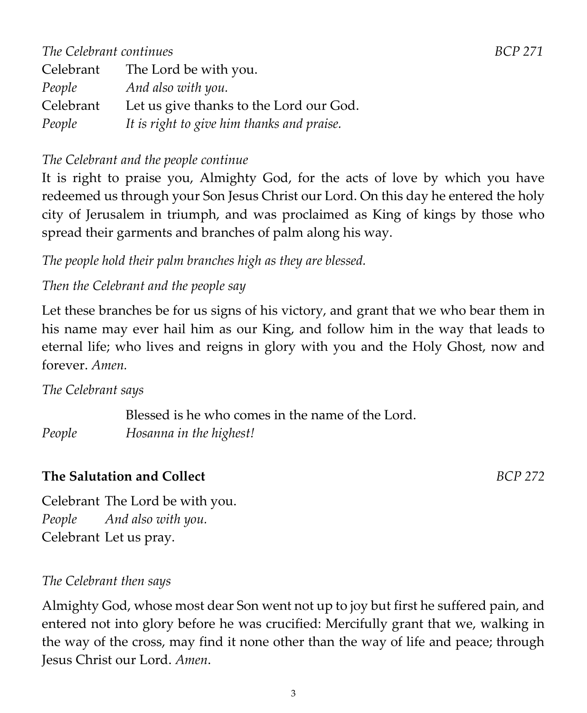| The Celebrant and the people continue                                               |
|-------------------------------------------------------------------------------------|
| It is right to praise you, Almighty God, for the acts of love by which you have     |
| redeemed us through your Son Jesus Christ our Lord. On this day he entered the holy |
| city of Jerusalem in triumph, and was proclaimed as King of kings by those who      |
| spread their garments and branches of palm along his way.                           |

*The people hold their palm branches high as they are blessed.*

Celebrant Let us give thanks to the Lord our God. *People It is right to give him thanks and praise.*

*Then the Celebrant and the people say*

Celebrant The Lord be with you. *People And also with you.*

Let these branches be for us signs of his victory, and grant that we who bear them in his name may ever hail him as our King, and follow him in the way that leads to eternal life; who lives and reigns in glory with you and the Holy Ghost, now and forever. *Amen.*

*The Celebrant says*

Blessed is he who comes in the name of the Lord. *People Hosanna in the highest!*

# **The Salutation and Collect** *BCP 272*

Celebrant The Lord be with you. *People And also with you.* Celebrant Let us pray.

### *The Celebrant then says*

Almighty God, whose most dear Son went not up to joy but first he suffered pain, and entered not into glory before he was crucified: Mercifully grant that we, walking in the way of the cross, may find it none other than the way of life and peace; through Jesus Christ our Lord. *Amen*.

3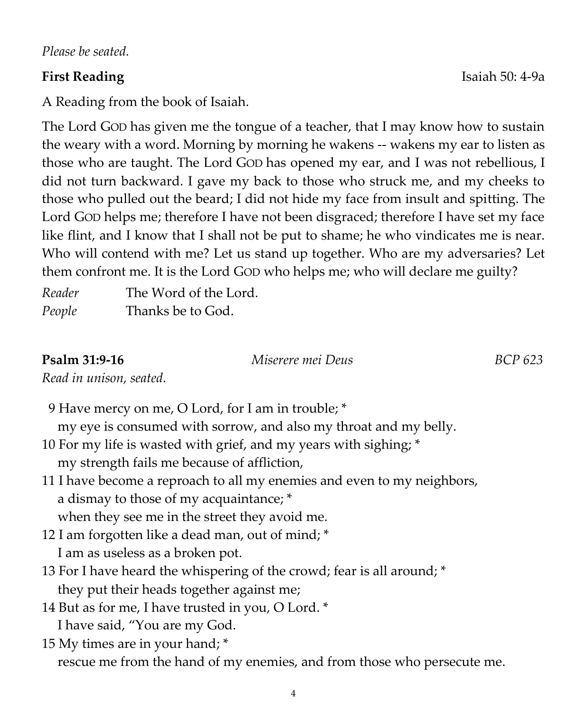A Reading from the book of Isaiah.

The Lord GOD has given me the tongue of a teacher, that I may know how to sustain the weary with a word. Morning by morning he wakens -- wakens my ear to listen as those who are taught. The Lord GOD has opened my ear, and I was not rebellious, I did not turn backward. I gave my back to those who struck me, and my cheeks to those who pulled out the beard; I did not hide my face from insult and spitting. The Lord GOD helps me; therefore I have not been disgraced; therefore I have set my face like flint, and I know that I shall not be put to shame; he who vindicates me is near. Who will contend with me? Let us stand up together. Who are my adversaries? Let them confront me. It is the Lord GOD who helps me; who will declare me guilty?

| Reader | The Word of the Lord. |
|--------|-----------------------|
| People | Thanks be to God.     |

| Psalm 31:9-16           | Miserere mei Deus | BCP 623 |
|-------------------------|-------------------|---------|
| Read in unison, seated. |                   |         |

 9 Have mercy on me, O Lord, for I am in trouble; \* my eye is consumed with sorrow, and also my throat and my belly.

- 10 For my life is wasted with grief, and my years with sighing; \* my strength fails me because of affliction,
- 11 I have become a reproach to all my enemies and even to my neighbors, a dismay to those of my acquaintance; \* when they see me in the street they avoid me.
- 12 I am forgotten like a dead man, out of mind; \* I am as useless as a broken pot.
- 13 For I have heard the whispering of the crowd; fear is all around; \* they put their heads together against me;
- 14 But as for me, I have trusted in you, O Lord. \* I have said, "You are my God.
- 15 My times are in your hand; \* rescue me from the hand of my enemies, and from those who persecute me.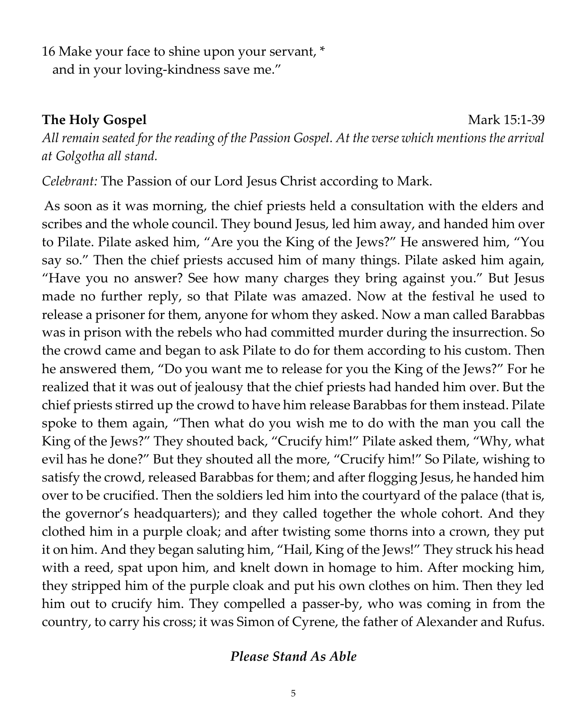16 Make your face to shine upon your servant, \* and in your loving-kindness save me."

# **The Holy Gospel** Mark 15:1-39

*All remain seated for the reading of the Passion Gospel. At the verse which mentions the arrival at Golgotha all stand.*

*Celebrant:* The Passion of our Lord Jesus Christ according to Mark.

As soon as it was morning, the chief priests held a consultation with the elders and scribes and the whole council. They bound Jesus, led him away, and handed him over to Pilate. Pilate asked him, "Are you the King of the Jews?" He answered him, "You say so." Then the chief priests accused him of many things. Pilate asked him again, "Have you no answer? See how many charges they bring against you." But Jesus made no further reply, so that Pilate was amazed. Now at the festival he used to release a prisoner for them, anyone for whom they asked. Now a man called Barabbas was in prison with the rebels who had committed murder during the insurrection. So the crowd came and began to ask Pilate to do for them according to his custom. Then he answered them, "Do you want me to release for you the King of the Jews?" For he realized that it was out of jealousy that the chief priests had handed him over. But the chief priests stirred up the crowd to have him release Barabbas for them instead. Pilate spoke to them again, "Then what do you wish me to do with the man you call the King of the Jews?" They shouted back, "Crucify him!" Pilate asked them, "Why, what evil has he done?" But they shouted all the more, "Crucify him!" So Pilate, wishing to satisfy the crowd, released Barabbas for them; and after flogging Jesus, he handed him over to be crucified. Then the soldiers led him into the courtyard of the palace (that is, the governor's headquarters); and they called together the whole cohort. And they clothed him in a purple cloak; and after twisting some thorns into a crown, they put it on him. And they began saluting him, "Hail, King of the Jews!" They struck his head with a reed, spat upon him, and knelt down in homage to him. After mocking him, they stripped him of the purple cloak and put his own clothes on him. Then they led him out to crucify him. They compelled a passer-by, who was coming in from the country, to carry his cross; it was Simon of Cyrene, the father of Alexander and Rufus.

### *Please Stand As Able*

5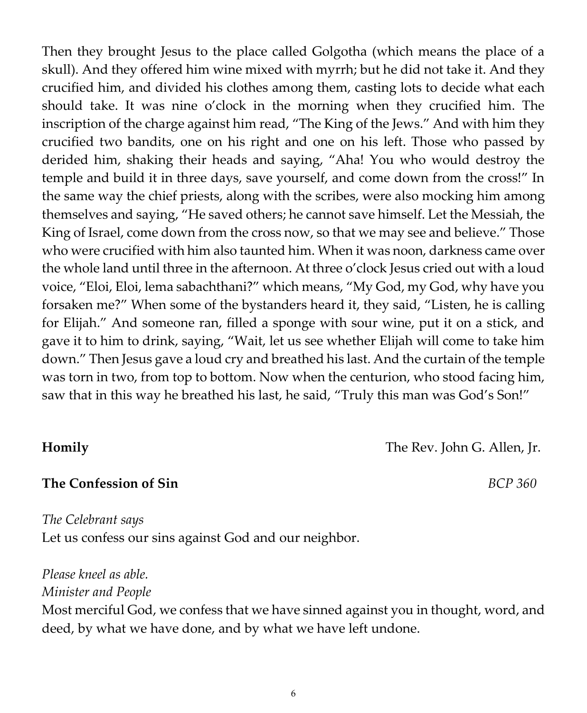Most merciful God, we confess that we have sinned against you in thought, word, and deed, by what we have done, and by what we have left undone.

was torn in two, from top to bottom. Now when the centurion, who stood facing him, saw that in this way he breathed his last, he said, "Truly this man was God's Son!"

# **The Confession of Sin** *BCP 360*

*Please kneel as able. Minister and People*

*The Celebrant says* Let us confess our sins against God and our neighbor.

**Homily** The Rev. John G. Allen, Jr.

crucified two bandits, one on his right and one on his left. Those who passed by derided him, shaking their heads and saying, "Aha! You who would destroy the temple and build it in three days, save yourself, and come down from the cross!" In the same way the chief priests, along with the scribes, were also mocking him among themselves and saying, "He saved others; he cannot save himself. Let the Messiah, the King of Israel, come down from the cross now, so that we may see and believe." Those who were crucified with him also taunted him. When it was noon, darkness came over the whole land until three in the afternoon. At three o'clock Jesus cried out with a loud voice, "Eloi, Eloi, lema sabachthani?" which means, "My God, my God, why have you forsaken me?" When some of the bystanders heard it, they said, "Listen, he is calling for Elijah." And someone ran, filled a sponge with sour wine, put it on a stick, and gave it to him to drink, saying, "Wait, let us see whether Elijah will come to take him down." Then Jesus gave a loud cry and breathed his last. And the curtain of the temple

Then they brought Jesus to the place called Golgotha (which means the place of a skull). And they offered him wine mixed with myrrh; but he did not take it. And they crucified him, and divided his clothes among them, casting lots to decide what each should take. It was nine o'clock in the morning when they crucified him. The inscription of the charge against him read, "The King of the Jews." And with him they

6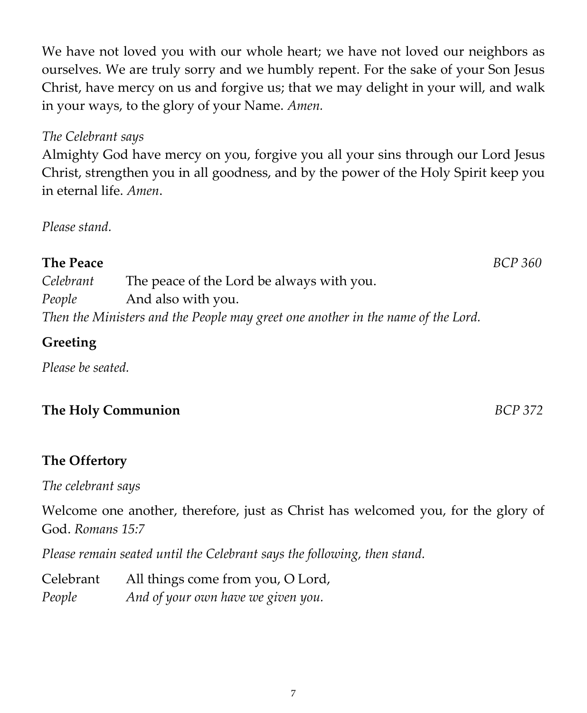7

We have not loved you with our whole heart; we have not loved our neighbors as ourselves. We are truly sorry and we humbly repent. For the sake of your Son Jesus Christ, have mercy on us and forgive us; that we may delight in your will, and walk in your ways, to the glory of your Name. *Amen.*

# *The Celebrant says*

Almighty God have mercy on you, forgive you all your sins through our Lord Jesus Christ, strengthen you in all goodness, and by the power of the Holy Spirit keep you in eternal life. *Amen*.

*Please stand.*

# **The Peace** *BCP 360*

*Celebrant* The peace of the Lord be always with you. *People* And also with you. *Then the Ministers and the People may greet one another in the name of the Lord.*

# **Greeting**

*Please be seated.*

# **The Holy Communion** *BCP 372*

# **The Offertory**

# *The celebrant says*

Welcome one another, therefore, just as Christ has welcomed you, for the glory of God. *Romans 15:7*

*Please remain seated until the Celebrant says the following, then stand.*

Celebrant All things come from you, O Lord, *People And of your own have we given you.*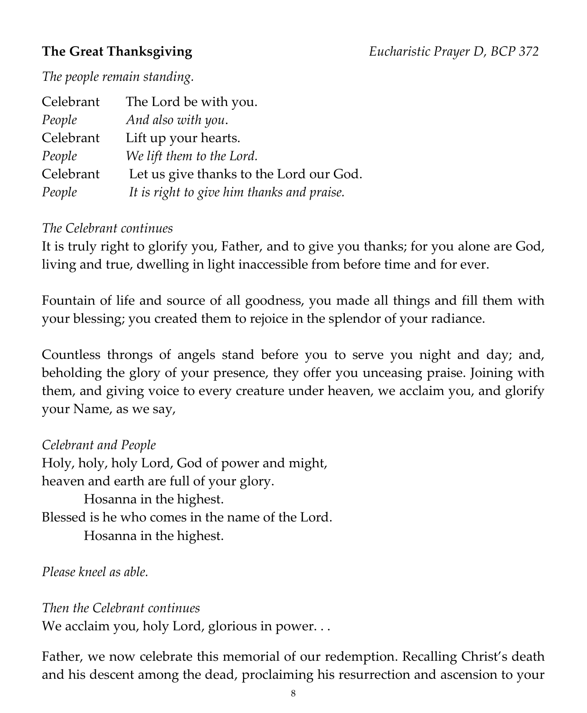*The people remain standing.*

| Celebrant | The Lord be with you.                      |
|-----------|--------------------------------------------|
| People    | And also with you.                         |
| Celebrant | Lift up your hearts.                       |
| People    | We lift them to the Lord.                  |
| Celebrant | Let us give thanks to the Lord our God.    |
| People    | It is right to give him thanks and praise. |

# *The Celebrant continues*

It is truly right to glorify you, Father, and to give you thanks; for you alone are God, living and true, dwelling in light inaccessible from before time and for ever.

Fountain of life and source of all goodness, you made all things and fill them with your blessing; you created them to rejoice in the splendor of your radiance.

Countless throngs of angels stand before you to serve you night and day; and, beholding the glory of your presence, they offer you unceasing praise. Joining with them, and giving voice to every creature under heaven, we acclaim you, and glorify your Name, as we say,

*Celebrant and People* Holy, holy, holy Lord, God of power and might, heaven and earth are full of your glory.

Hosanna in the highest. Blessed is he who comes in the name of the Lord. Hosanna in the highest.

# *Please kneel as able.*

*Then the Celebrant continues* We acclaim you, holy Lord, glorious in power...

Father, we now celebrate this memorial of our redemption. Recalling Christ's death and his descent among the dead, proclaiming his resurrection and ascension to your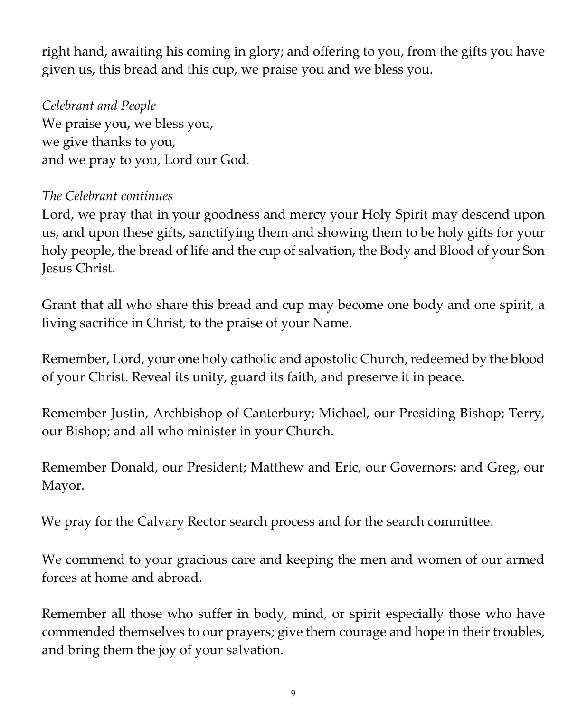right hand, awaiting his coming in glory; and offering to you, from the gifts you have given us, this bread and this cup, we praise you and we bless you.

*Celebrant and People* We praise you, we bless you, we give thanks to you, and we pray to you, Lord our God.

# *The Celebrant continues*

Lord, we pray that in your goodness and mercy your Holy Spirit may descend upon us, and upon these gifts, sanctifying them and showing them to be holy gifts for your holy people, the bread of life and the cup of salvation, the Body and Blood of your Son Jesus Christ.

Grant that all who share this bread and cup may become one body and one spirit, a living sacrifice in Christ, to the praise of your Name.

Remember, Lord, your one holy catholic and apostolic Church, redeemed by the blood of your Christ. Reveal its unity, guard its faith, and preserve it in peace.

Remember Justin, Archbishop of Canterbury; Michael, our Presiding Bishop; Terry, our Bishop; and all who minister in your Church.

Remember Donald, our President; Matthew and Eric, our Governors; and Greg, our Mayor.

We pray for the Calvary Rector search process and for the search committee.

We commend to your gracious care and keeping the men and women of our armed forces at home and abroad.

Remember all those who suffer in body, mind, or spirit especially those who have commended themselves to our prayers; give them courage and hope in their troubles, and bring them the joy of your salvation.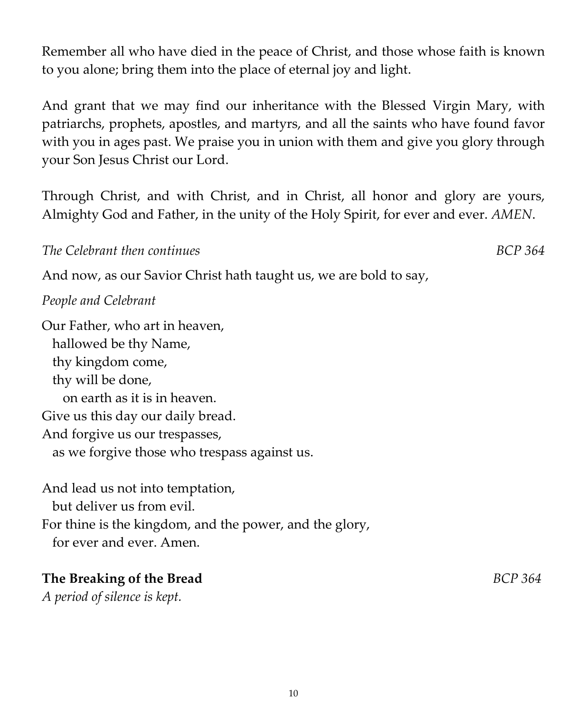Remember all who have died in the peace of Christ, and those whose faith is known to you alone; bring them into the place of eternal joy and light.

And grant that we may find our inheritance with the Blessed Virgin Mary, with patriarchs, prophets, apostles, and martyrs, and all the saints who have found favor with you in ages past. We praise you in union with them and give you glory through your Son Jesus Christ our Lord.

Through Christ, and with Christ, and in Christ, all honor and glory are yours, Almighty God and Father, in the unity of the Holy Spirit, for ever and ever. *AMEN*.

### *The Celebrant then continues BCP 364*

And now, as our Savior Christ hath taught us, we are bold to say,

### *People and Celebrant*

Our Father, who art in heaven, hallowed be thy Name, thy kingdom come, thy will be done, on earth as it is in heaven. Give us this day our daily bread. And forgive us our trespasses, as we forgive those who trespass against us.

And lead us not into temptation, but deliver us from evil. For thine is the kingdom, and the power, and the glory, for ever and ever. Amen.

# **The Breaking of the Bread** *BCP 364*

*A period of silence is kept.*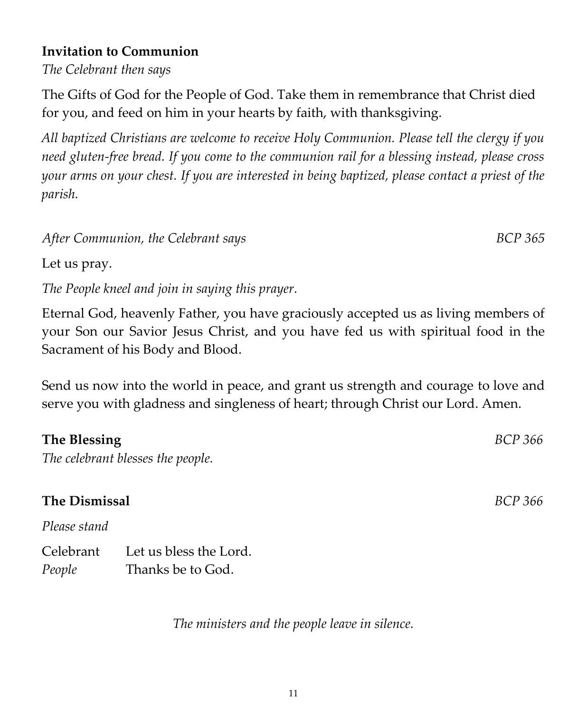# **Invitation to Communion**

*The Celebrant then says*

The Gifts of God for the People of God. Take them in remembrance that Christ died for you, and feed on him in your hearts by faith, with thanksgiving.

*All baptized Christians are welcome to receive Holy Communion. Please tell the clergy if you need gluten-free bread. If you come to the communion rail for a blessing instead, please cross your arms on your chest. If you are interested in being baptized, please contact a priest of the parish.* 

|  | After Communion, the Celebrant says | <b>BCP 365</b> |  |
|--|-------------------------------------|----------------|--|
|  |                                     |                |  |

Let us pray.

*The People kneel and join in saying this prayer.*

Eternal God, heavenly Father, you have graciously accepted us as living members of your Son our Savior Jesus Christ, and you have fed us with spiritual food in the Sacrament of his Body and Blood.

Send us now into the world in peace, and grant us strength and courage to love and serve you with gladness and singleness of heart; through Christ our Lord. Amen.

| The Blessing         |                                             | <b>BCP 366</b> |
|----------------------|---------------------------------------------|----------------|
|                      | The celebrant blesses the people.           |                |
| <b>The Dismissal</b> |                                             | BCP 366        |
| Please stand         |                                             |                |
| Celebrant<br>People  | Let us bless the Lord.<br>Thanks be to God. |                |

*The ministers and the people leave in silence.*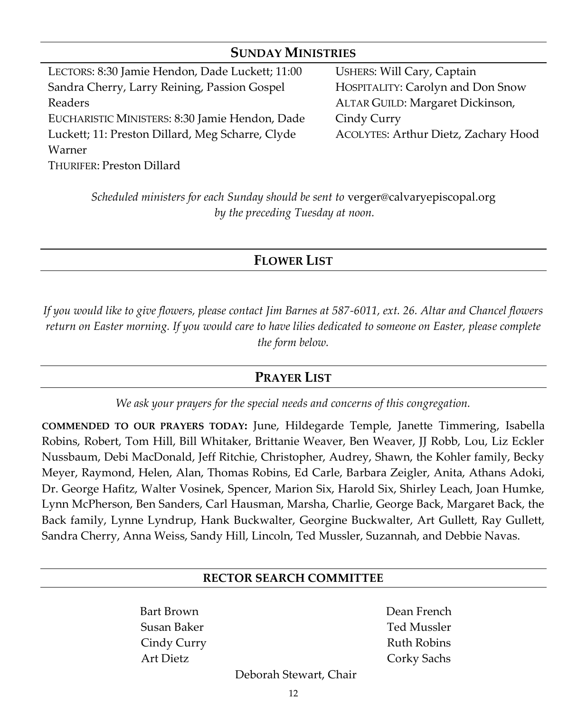| <b>SUNDAY MINISTRIES</b> |
|--------------------------|
|--------------------------|

| LECTORS: 8:30 Jamie Hendon, Dade Luckett; 11:00  | <b>USHERS: Will Cary, Captain</b>    |
|--------------------------------------------------|--------------------------------------|
| Sandra Cherry, Larry Reining, Passion Gospel     | HOSPITALITY: Carolyn and Don Snow    |
| Readers                                          | ALTAR GUILD: Margaret Dickinson,     |
| EUCHARISTIC MINISTERS: 8:30 Jamie Hendon, Dade   | Cindy Curry                          |
| Luckett; 11: Preston Dillard, Meg Scharre, Clyde | ACOLYTES: Arthur Dietz, Zachary Hood |
| Warner                                           |                                      |
| THURIFER: Preston Dillard                        |                                      |

*Scheduled ministers for each Sunday should be sent to* [verger@calvaryepiscopal.org](mailto:verger@calvaryepiscopal.org) *by the preceding Tuesday at noon.*

### **FLOWER LIST**

*If you would like to give flowers, please contact Jim Barnes at 587-6011, ext. 26. Altar and Chancel flowers return on Easter morning. If you would care to have lilies dedicated to someone on Easter, please complete the form below.*

### **PRAYER LIST**

*We ask your prayers for the special needs and concerns of this congregation.*

**COMMENDED TO OUR PRAYERS TODAY:** June, Hildegarde Temple, Janette Timmering, Isabella Robins, Robert, Tom Hill, Bill Whitaker, Brittanie Weaver, Ben Weaver, JJ Robb, Lou, Liz Eckler Nussbaum, Debi MacDonald, Jeff Ritchie, Christopher, Audrey, Shawn, the Kohler family, Becky Meyer, Raymond, Helen, Alan, Thomas Robins, Ed Carle, Barbara Zeigler, Anita, Athans Adoki, Dr. George Hafitz, Walter Vosinek, Spencer, Marion Six, Harold Six, Shirley Leach, Joan Humke, Lynn McPherson, Ben Sanders, Carl Hausman, Marsha, Charlie, George Back, Margaret Back, the Back family, Lynne Lyndrup, Hank Buckwalter, Georgine Buckwalter, Art Gullett, Ray Gullett, Sandra Cherry, Anna Weiss, Sandy Hill, Lincoln, Ted Mussler, Suzannah, and Debbie Navas.

### **RECTOR SEARCH COMMITTEE**

Bart Brown Dean French Susan Baker Ted Mussler Cindy Curry **Ruth Robins** Art Dietz Corky Sachs

Deborah Stewart, Chair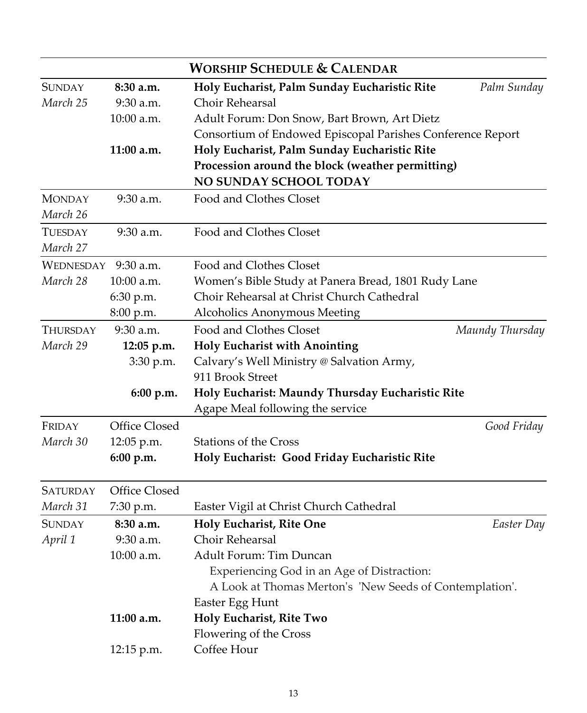| <b>WORSHIP SCHEDULE &amp; CALENDAR</b> |               |                                                             |  |  |
|----------------------------------------|---------------|-------------------------------------------------------------|--|--|
| <b>SUNDAY</b>                          | $8:30$ a.m.   | Holy Eucharist, Palm Sunday Eucharistic Rite<br>Palm Sunday |  |  |
| March 25                               | 9:30 a.m.     | Choir Rehearsal                                             |  |  |
|                                        | $10:00$ a.m.  | Adult Forum: Don Snow, Bart Brown, Art Dietz                |  |  |
|                                        |               | Consortium of Endowed Episcopal Parishes Conference Report  |  |  |
|                                        | 11:00 a.m.    | Holy Eucharist, Palm Sunday Eucharistic Rite                |  |  |
|                                        |               | Procession around the block (weather permitting)            |  |  |
|                                        |               | NO SUNDAY SCHOOL TODAY                                      |  |  |
| <b>MONDAY</b>                          | $9:30$ a.m.   | Food and Clothes Closet                                     |  |  |
| March 26                               |               |                                                             |  |  |
| <b>TUESDAY</b>                         | $9:30$ a.m.   | Food and Clothes Closet                                     |  |  |
| March 27                               |               |                                                             |  |  |
| WEDNESDAY                              | 9:30 a.m.     | Food and Clothes Closet                                     |  |  |
| March 28                               | 10:00 a.m.    | Women's Bible Study at Panera Bread, 1801 Rudy Lane         |  |  |
|                                        | 6:30 p.m.     | Choir Rehearsal at Christ Church Cathedral                  |  |  |
|                                        | 8:00 p.m.     | Alcoholics Anonymous Meeting                                |  |  |
| <b>THURSDAY</b>                        | $9:30$ a.m.   | Food and Clothes Closet<br>Maundy Thursday                  |  |  |
| March 29                               | 12:05 p.m.    | <b>Holy Eucharist with Anointing</b>                        |  |  |
|                                        | 3:30 p.m.     | Calvary's Well Ministry @ Salvation Army,                   |  |  |
|                                        |               | 911 Brook Street                                            |  |  |
|                                        | 6:00 p.m.     | Holy Eucharist: Maundy Thursday Eucharistic Rite            |  |  |
|                                        |               | Agape Meal following the service                            |  |  |
| FRIDAY                                 | Office Closed | Good Friday                                                 |  |  |
| March 30                               | 12:05 p.m.    | <b>Stations of the Cross</b>                                |  |  |
|                                        | 6:00 p.m.     | Holy Eucharist: Good Friday Eucharistic Rite                |  |  |
| <b>SATURDAY</b>                        | Office Closed |                                                             |  |  |
| March 31                               | 7:30 p.m.     | Easter Vigil at Christ Church Cathedral                     |  |  |
| <b>SUNDAY</b>                          | $8:30$ a.m.   | Holy Eucharist, Rite One<br>Easter Day                      |  |  |
| April 1                                | $9:30$ a.m.   | Choir Rehearsal                                             |  |  |
|                                        | $10:00$ a.m.  | Adult Forum: Tim Duncan                                     |  |  |
|                                        |               | Experiencing God in an Age of Distraction:                  |  |  |
|                                        |               | A Look at Thomas Merton's 'New Seeds of Contemplation'.     |  |  |
|                                        |               | Easter Egg Hunt                                             |  |  |
| 11:00 a.m.<br>Holy Eucharist, Rite Two |               |                                                             |  |  |
|                                        |               | Flowering of the Cross                                      |  |  |
|                                        | 12:15 p.m.    | Coffee Hour                                                 |  |  |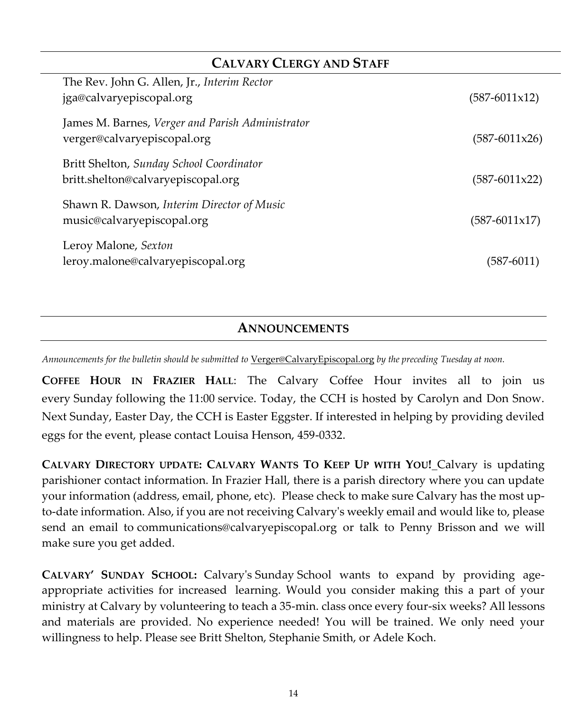| <b>CALVARY CLERGY AND STAFF</b>                                                 |                 |  |
|---------------------------------------------------------------------------------|-----------------|--|
| The Rev. John G. Allen, Jr., Interim Rector<br>jga@calvaryepiscopal.org         | $(587-6011x12)$ |  |
| James M. Barnes, Verger and Parish Administrator<br>verger@calvaryepiscopal.org | (587-6011x26)   |  |
| Britt Shelton, Sunday School Coordinator<br>britt.shelton@calvaryepiscopal.org  | $(587-6011x22)$ |  |
| Shawn R. Dawson, Interim Director of Music<br>music@calvaryepiscopal.org        | $(587-6011x17)$ |  |
| Leroy Malone, Sexton<br>leroy.malone@calvaryepiscopal.org                       | (587-6011)      |  |

# **ANNOUNCEMENTS**

*Announcements for the bulletin should be submitted to* [Verger@CalvaryEpiscopal.org](mailto:Verger@CalvaryEpiscopal.org) *by the preceding Tuesday at noon.* 

**COFFEE HOUR IN FRAZIER HALL**: The Calvary Coffee Hour invites all to join us every Sunday following the 11:00 service. Today, the CCH is hosted by Carolyn and Don Snow. Next Sunday, Easter Day, the CCH is Easter Eggster. If interested in helping by providing deviled eggs for the event, please contact Louisa Henson, 459-0332.

**CALVARY DIRECTORY UPDATE: CALVARY WANTS TO KEEP UP WITH YOU!** Calvary is updating parishioner contact information. In Frazier Hall, there is a parish directory where you can update your information (address, email, phone, etc). Please check to make sure Calvary has the most upto-date information. Also, if you are not receiving Calvary's weekly email and would like to, please send an email to [communications@calvaryepiscopal.org](mailto:communications@calvaryepiscopal.org) or talk to Penny Brisson and we will make sure you get added.

**CALVARY' SUNDAY SCHOOL:** Calvary's Sunday School wants to expand by providing ageappropriate activities for increased learning. Would you consider making this a part of your ministry at Calvary by volunteering to teach a 35-min. class once every four-six weeks? All lessons and materials are provided. No experience needed! You will be trained. We only need your willingness to help. Please see Britt Shelton, Stephanie Smith, or Adele Koch.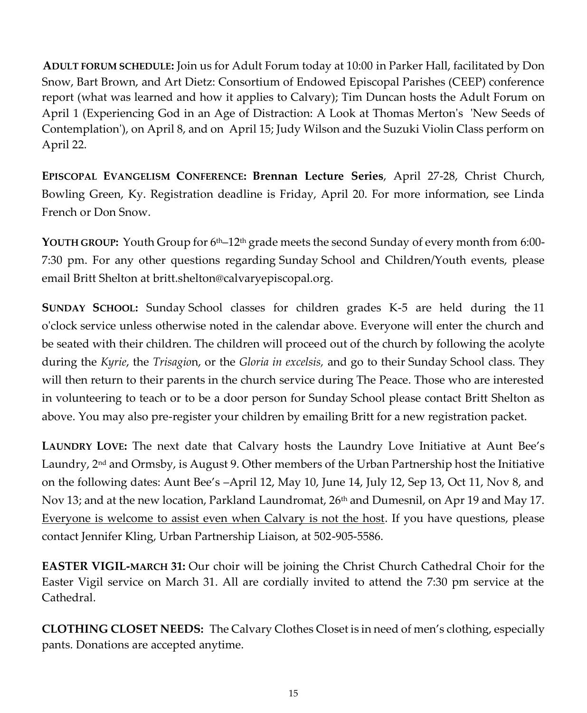**ADULT FORUM SCHEDULE:** Join us for Adult Forum today at 10:00 in Parker Hall, facilitated by Don Snow, Bart Brown, and Art Dietz: Consortium of Endowed Episcopal Parishes (CEEP) conference report (what was learned and how it applies to Calvary); Tim Duncan hosts the Adult Forum on April 1 (Experiencing God in an Age of Distraction: A Look at Thomas Merton's 'New Seeds of Contemplation'), on April 8, and on April 15; Judy Wilson and the Suzuki Violin Class perform on April 22.

**EPISCOPAL EVANGELISM CONFERENCE: Brennan Lecture Series**, April 27-28, Christ Church, Bowling Green, Ky. Registration deadline is Friday, April 20. For more information, see Linda French or Don Snow.

**YOUTH GROUP:** Youth Group for 6th–12th grade meets the second Sunday of every month from 6:00- 7:30 pm. For any other questions regarding Sunday School and Children/Youth events, please email Britt Shelton at [britt.shelton@calvaryepiscopal.org.](mailto:britt.shelton@calvaryepiscopal.org)

**SUNDAY SCHOOL:** Sunday School classes for children grades K-5 are held during the 11 o'clock service unless otherwise noted in the calendar above. Everyone will enter the church and be seated with their children. The children will proceed out of the church by following the acolyte during the *Kyrie*, the *Trisagio*n, or the *Gloria in excelsis,* and go to their Sunday School class. They will then return to their parents in the church service during The Peace. Those who are interested in volunteering to teach or to be a door person for Sunday School please contact Britt Shelton as above. You may also pre-register your children by emailing Britt for a new registration packet.

**LAUNDRY LOVE:** The next date that Calvary hosts the Laundry Love Initiative at Aunt Bee's Laundry, 2nd and Ormsby, is August 9. Other members of the Urban Partnership host the Initiative on the following dates: Aunt Bee's –April 12, May 10, June 14, July 12, Sep 13, Oct 11, Nov 8, and Nov 13; and at the new location, Parkland Laundromat, 26<sup>th</sup> and Dumesnil, on Apr 19 and May 17. Everyone is welcome to assist even when Calvary is not the host. If you have questions, please contact Jennifer Kling, Urban Partnership Liaison, at 502-905-5586.

**EASTER VIGIL-MARCH 31:** Our choir will be joining the Christ Church Cathedral Choir for the Easter Vigil service on March 31. All are cordially invited to attend the 7:30 pm service at the Cathedral.

**CLOTHING CLOSET NEEDS:** The Calvary Clothes Closet is in need of men's clothing, especially pants. Donations are accepted anytime.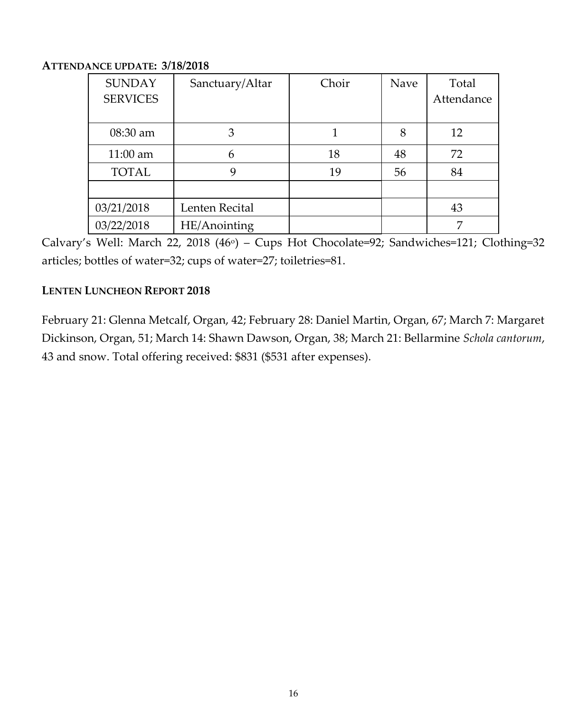### **ATTENDANCE UPDATE: 3/18/2018**

| <b>SUNDAY</b><br><b>SERVICES</b> | Sanctuary/Altar | Choir | Nave | Total<br>Attendance |
|----------------------------------|-----------------|-------|------|---------------------|
|                                  |                 |       |      |                     |
| $08:30$ am                       | З               |       | 8    | 12                  |
| $11:00$ am                       | 6               | 18    | 48   | 72                  |
| <b>TOTAL</b>                     | q               | 19    | 56   | 84                  |
|                                  |                 |       |      |                     |
| 03/21/2018                       | Lenten Recital  |       |      | 43                  |
| 03/22/2018                       | HE/Anointing    |       |      | ヮ                   |

Calvary's Well: March 22, 2018 (46º) – Cups Hot Chocolate=92; Sandwiches=121; Clothing=32 articles; bottles of water=32; cups of water=27; toiletries=81.

### **LENTEN LUNCHEON REPORT 2018**

February 21: Glenna Metcalf, Organ, 42; February 28: Daniel Martin, Organ, 67; March 7: Margaret Dickinson, Organ, 51; March 14: Shawn Dawson, Organ, 38; March 21: Bellarmine *Schola cantorum*, 43 and snow. Total offering received: \$831 (\$531 after expenses).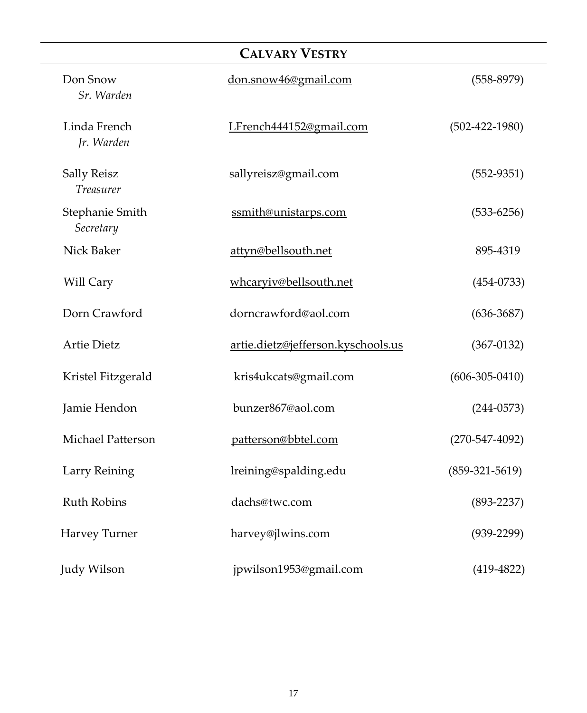# **CALVARY VESTRY**

| Don Snow<br>Sr. Warden          | don.snow46@gmail.com               | $(558-8979)$         |
|---------------------------------|------------------------------------|----------------------|
| Linda French<br>Jr. Warden      | LFrench444152@gmail.com            | $(502 - 422 - 1980)$ |
| Sally Reisz<br><b>Treasurer</b> | sallyreisz@gmail.com               | $(552-9351)$         |
| Stephanie Smith<br>Secretary    | ssmith@unistarps.com               | $(533 - 6256)$       |
| Nick Baker                      | attyn@bellsouth.net                | 895-4319             |
| Will Cary                       | whcaryiv@bellsouth.net             | $(454 - 0733)$       |
| Dorn Crawford                   | dorncrawford@aol.com               | $(636-3687)$         |
| <b>Artie Dietz</b>              | artie.dietz@jefferson.kyschools.us | $(367-0132)$         |
| Kristel Fitzgerald              | kris4ukcats@gmail.com              | $(606 - 305 - 0410)$ |
| Jamie Hendon                    | bunzer867@aol.com                  | $(244 - 0573)$       |
| Michael Patterson               | patterson@bbtel.com                | $(270-547-4092)$     |
| Larry Reining                   | lreining@spalding.edu              | $(859-321-5619)$     |
| <b>Ruth Robins</b>              | dachs@twc.com                      | $(893 - 2237)$       |
| Harvey Turner                   | harvey@jlwins.com                  | $(939-2299)$         |
| Judy Wilson                     | jpwilson1953@gmail.com             | $(419-4822)$         |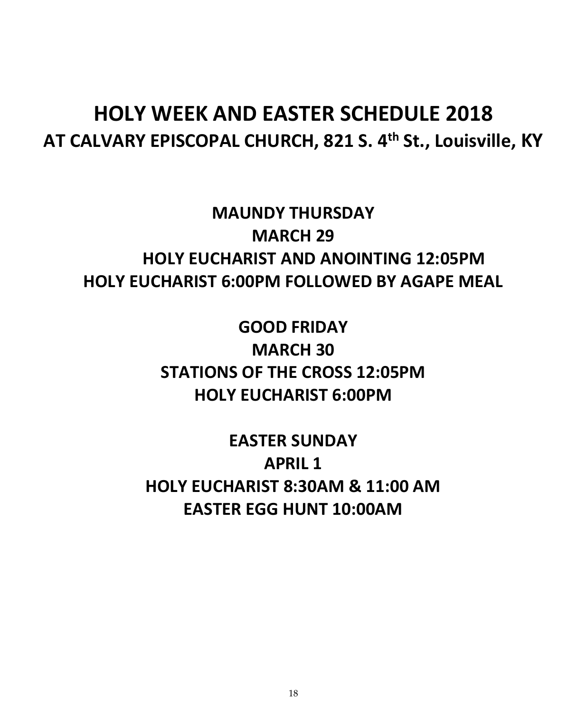# **HOLY WEEK AND EASTER SCHEDULE 2018 AT CALVARY EPISCOPAL CHURCH, 821 S. 4th St., Louisville, KY**

**MAUNDY THURSDAY MARCH 29 HOLY EUCHARIST AND ANOINTING 12:05PM HOLY EUCHARIST 6:00PM FOLLOWED BY AGAPE MEAL**

> **GOOD FRIDAY MARCH 30 STATIONS OF THE CROSS 12:05PM HOLY EUCHARIST 6:00PM**

**EASTER SUNDAY APRIL 1 HOLY EUCHARIST 8:30AM & 11:00 AM EASTER EGG HUNT 10:00AM**